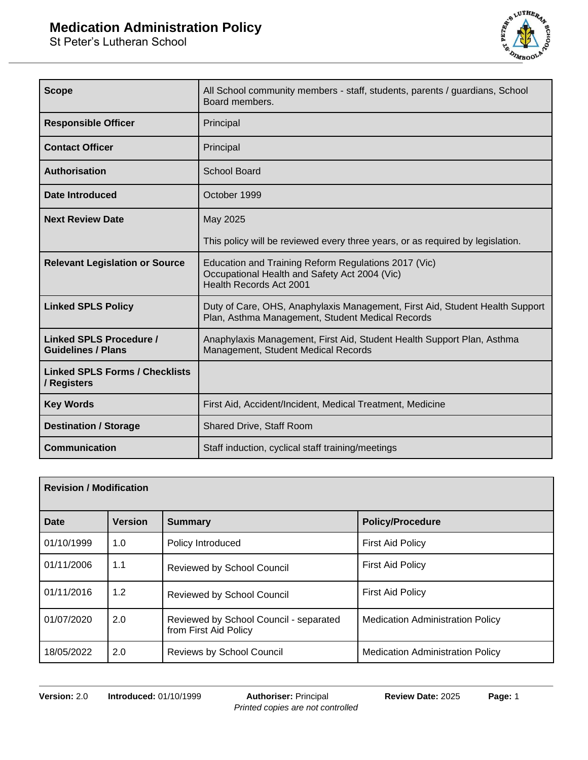St Peter's Lutheran School



| <b>Scope</b>                                                | All School community members - staff, students, parents / guardians, School<br>Board members.                                           |  |
|-------------------------------------------------------------|-----------------------------------------------------------------------------------------------------------------------------------------|--|
| <b>Responsible Officer</b>                                  | Principal                                                                                                                               |  |
| <b>Contact Officer</b>                                      | Principal                                                                                                                               |  |
| <b>Authorisation</b>                                        | <b>School Board</b>                                                                                                                     |  |
| Date Introduced                                             | October 1999                                                                                                                            |  |
| <b>Next Review Date</b>                                     | May 2025                                                                                                                                |  |
|                                                             | This policy will be reviewed every three years, or as required by legislation.                                                          |  |
| <b>Relevant Legislation or Source</b>                       | Education and Training Reform Regulations 2017 (Vic)<br>Occupational Health and Safety Act 2004 (Vic)<br><b>Health Records Act 2001</b> |  |
| <b>Linked SPLS Policy</b>                                   | Duty of Care, OHS, Anaphylaxis Management, First Aid, Student Health Support<br>Plan, Asthma Management, Student Medical Records        |  |
| <b>Linked SPLS Procedure /</b><br><b>Guidelines / Plans</b> | Anaphylaxis Management, First Aid, Student Health Support Plan, Asthma<br>Management, Student Medical Records                           |  |
| <b>Linked SPLS Forms / Checklists</b><br>/ Registers        |                                                                                                                                         |  |
| <b>Key Words</b>                                            | First Aid, Accident/Incident, Medical Treatment, Medicine                                                                               |  |
| <b>Destination / Storage</b>                                | Shared Drive, Staff Room                                                                                                                |  |
| <b>Communication</b>                                        | Staff induction, cyclical staff training/meetings                                                                                       |  |

| <b>Revision / Modification</b> |                |                                                                 |                                         |
|--------------------------------|----------------|-----------------------------------------------------------------|-----------------------------------------|
| <b>Date</b>                    | <b>Version</b> | <b>Summary</b>                                                  | <b>Policy/Procedure</b>                 |
| 01/10/1999                     | 1.0            | Policy Introduced                                               | <b>First Aid Policy</b>                 |
| 01/11/2006                     | 1.1            | Reviewed by School Council                                      | <b>First Aid Policy</b>                 |
| 01/11/2016                     | 1.2            | <b>Reviewed by School Council</b>                               | <b>First Aid Policy</b>                 |
| 01/07/2020                     | 2.0            | Reviewed by School Council - separated<br>from First Aid Policy | <b>Medication Administration Policy</b> |
| 18/05/2022                     | 2.0            | <b>Reviews by School Council</b>                                | <b>Medication Administration Policy</b> |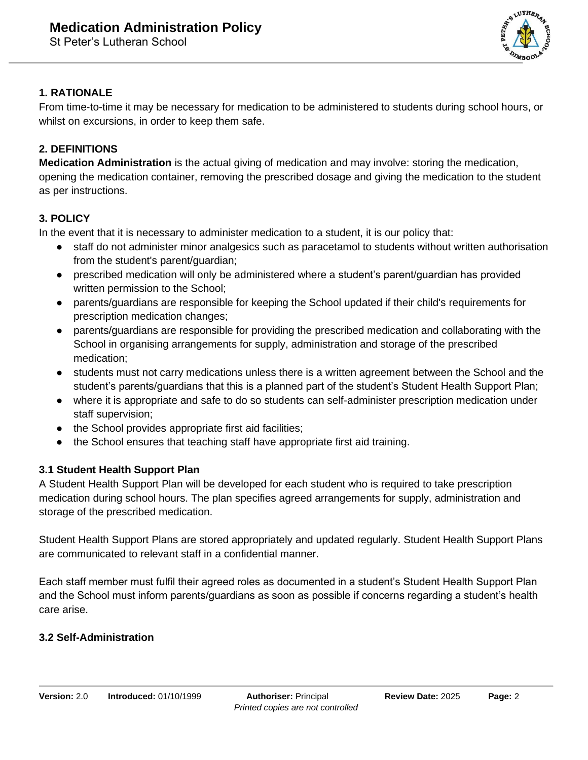

## **1. RATIONALE**

From time-to-time it may be necessary for medication to be administered to students during school hours, or whilst on excursions, in order to keep them safe.

## **2. DEFINITIONS**

**Medication Administration** is the actual giving of medication and may involve: storing the medication, opening the medication container, removing the prescribed dosage and giving the medication to the student as per instructions.

# **3. POLICY**

In the event that it is necessary to administer medication to a student, it is our policy that:

- staff do not administer minor analgesics such as paracetamol to students without written authorisation from the student's parent/guardian;
- prescribed medication will only be administered where a student's parent/guardian has provided written permission to the School;
- parents/guardians are responsible for keeping the School updated if their child's requirements for prescription medication changes;
- parents/guardians are responsible for providing the prescribed medication and collaborating with the School in organising arrangements for supply, administration and storage of the prescribed medication;
- students must not carry medications unless there is a written agreement between the School and the student's parents/guardians that this is a planned part of the student's Student Health Support Plan;
- where it is appropriate and safe to do so students can self-administer prescription medication under staff supervision;
- the School provides appropriate first aid facilities;
- the School ensures that teaching staff have appropriate first aid training.

## **3.1 Student Health Support Plan**

A Student Health Support Plan will be developed for each student who is required to take prescription medication during school hours. The plan specifies agreed arrangements for supply, administration and storage of the prescribed medication.

Student Health Support Plans are stored appropriately and updated regularly. Student Health Support Plans are communicated to relevant staff in a confidential manner.

Each staff member must fulfil their agreed roles as documented in a student's Student Health Support Plan and the School must inform parents/guardians as soon as possible if concerns regarding a student's health care arise.

## **3.2 Self-Administration**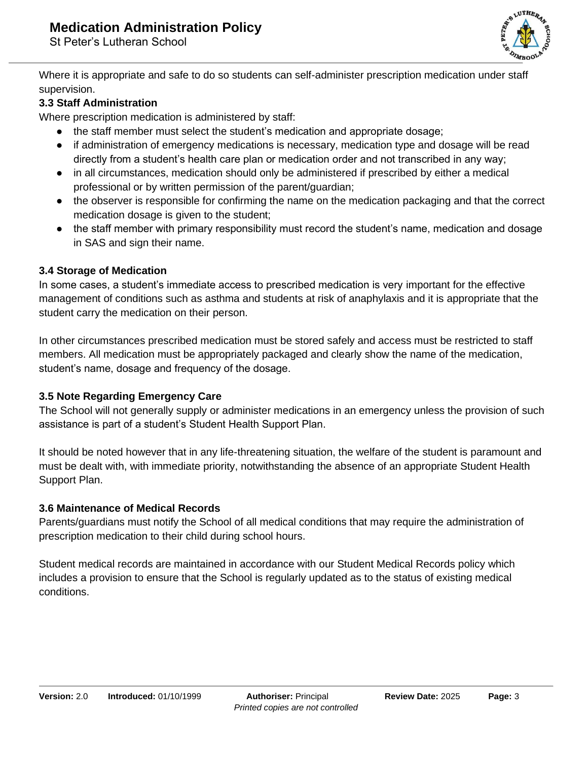St Peter's Lutheran School



Where it is appropriate and safe to do so students can self-administer prescription medication under staff supervision.

### **3.3 Staff Administration**

Where prescription medication is administered by staff:

- the staff member must select the student's medication and appropriate dosage;
- if administration of emergency medications is necessary, medication type and dosage will be read directly from a student's health care plan or medication order and not transcribed in any way;
- in all circumstances, medication should only be administered if prescribed by either a medical professional or by written permission of the parent/guardian;
- the observer is responsible for confirming the name on the medication packaging and that the correct medication dosage is given to the student;
- the staff member with primary responsibility must record the student's name, medication and dosage in SAS and sign their name.

### **3.4 Storage of Medication**

In some cases, a student's immediate access to prescribed medication is very important for the effective management of conditions such as asthma and students at risk of anaphylaxis and it is appropriate that the student carry the medication on their person.

In other circumstances prescribed medication must be stored safely and access must be restricted to staff members. All medication must be appropriately packaged and clearly show the name of the medication, student's name, dosage and frequency of the dosage.

#### **3.5 Note Regarding Emergency Care**

The School will not generally supply or administer medications in an emergency unless the provision of such assistance is part of a student's Student Health Support Plan.

It should be noted however that in any life-threatening situation, the welfare of the student is paramount and must be dealt with, with immediate priority, notwithstanding the absence of an appropriate Student Health Support Plan.

#### **3.6 Maintenance of Medical Records**

Parents/guardians must notify the School of all medical conditions that may require the administration of prescription medication to their child during school hours.

Student medical records are maintained in accordance with our Student Medical Records policy which includes a provision to ensure that the School is regularly updated as to the status of existing medical conditions.